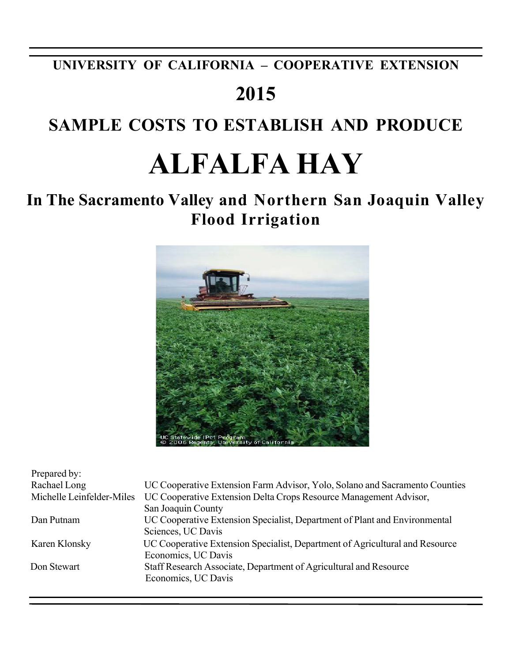# **UNIVERSITY OF CALIFORNIA – COOPERATIVE EXTENSION**

# **2015**

# **SAMPLE COSTS TO ESTABLISH AND PRODUCE**

# **ALFALFA HAY**

# **In The Sacramento Valley and Northern San Joaquin Valley Flood Irrigation**



| Prepared by:              |                                                                                                     |
|---------------------------|-----------------------------------------------------------------------------------------------------|
| Rachael Long              | UC Cooperative Extension Farm Advisor, Yolo, Solano and Sacramento Counties                         |
| Michelle Leinfelder-Miles | UC Cooperative Extension Delta Crops Resource Management Advisor,<br>San Joaquin County             |
| Dan Putnam                | UC Cooperative Extension Specialist, Department of Plant and Environmental<br>Sciences, UC Davis    |
| Karen Klonsky             | UC Cooperative Extension Specialist, Department of Agricultural and Resource<br>Economics, UC Davis |
| Don Stewart               | Staff Research Associate, Department of Agricultural and Resource<br>Economics, UC Davis            |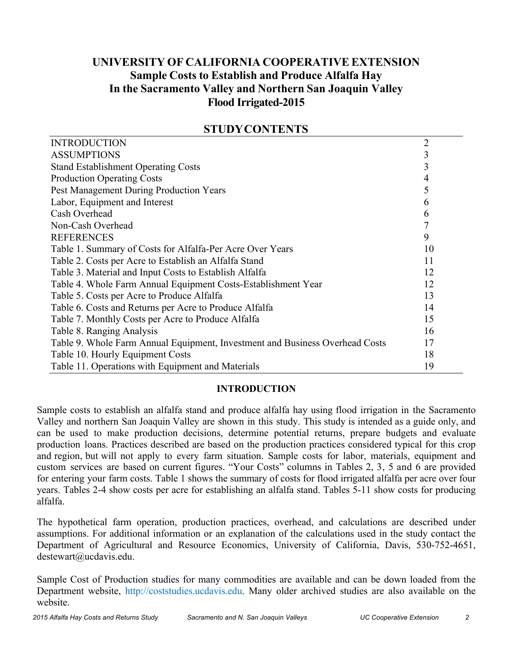# **UNIVERSITY OF CALIFORNIA COOPERATIVE EXTENSION Sample Costs to Establish and Produce Alfalfa Hay In the Sacramento Valley and Northern San Joaquin Valley Flood Irrigated-2015**

| <b>INTRODUCTION</b>                                                          | $\overline{2}$ |
|------------------------------------------------------------------------------|----------------|
| <b>ASSUMPTIONS</b>                                                           | 3              |
| <b>Stand Establishment Operating Costs</b>                                   | 3              |
| <b>Production Operating Costs</b>                                            | 4              |
| Pest Management During Production Years                                      | 5              |
| Labor, Equipment and Interest                                                | 6              |
| Cash Overhead                                                                | 6              |
| Non-Cash Overhead                                                            | 7              |
| <b>REFERENCES</b>                                                            | 9              |
| Table 1. Summary of Costs for Alfalfa-Per Acre Over Years                    | 10             |
| Table 2. Costs per Acre to Establish an Alfalfa Stand                        | 11             |
| Table 3. Material and Input Costs to Establish Alfalfa                       | 12             |
| Table 4. Whole Farm Annual Equipment Costs-Establishment Year                | 12             |
| Table 5. Costs per Acre to Produce Alfalfa                                   | 13             |
| Table 6. Costs and Returns per Acre to Produce Alfalfa                       | 14             |
| Table 7. Monthly Costs per Acre to Produce Alfalfa                           | 15             |
| Table 8. Ranging Analysis                                                    | 16             |
| Table 9. Whole Farm Annual Equipment, Investment and Business Overhead Costs | 17             |
| Table 10. Hourly Equipment Costs                                             | 18             |
| Table 11. Operations with Equipment and Materials                            | 19             |

## **STUDYCONTENTS**

# **INTRODUCTION**

 Sample costs to establish an alfalfa stand and produce alfalfa hay using flood irrigation in the Sacramento Valley and northern San Joaquin Valley are shown in this study. This study is intended as a guide only, and can be used to make production decisions, determine potential returns, prepare budgets and evaluate production loans. Practices described are based on the production practices considered typical for this crop and region, but will not apply to every farm situation. Sample costs for labor, materials, equipment and custom services are based on current figures. "Your Costs" columns in Tables 2, 3, 5 and 6 are provided for entering your farm costs. Table 1 shows the summary of costs for flood irrigated alfalfa per acre over four years. Tables 2-4 show costs per acre for establishing an alfalfa stand. Tables 5-11 show costs for producing alfalfa.

 The hypothetical farm operation, production practices, overhead, and calculations are described under assumptions. For additional information or an explanation of the calculations used in the study contact the Department of Agricultural and Resource Economics, University of California, Davis, 530-752-4651, destewart@ucdavis.edu.

 Sample Cost of Production studies for many commodities are available and can be down loaded from the Department website, http://coststudies.ucdavis.edu. Many older archived studies are also available on the website.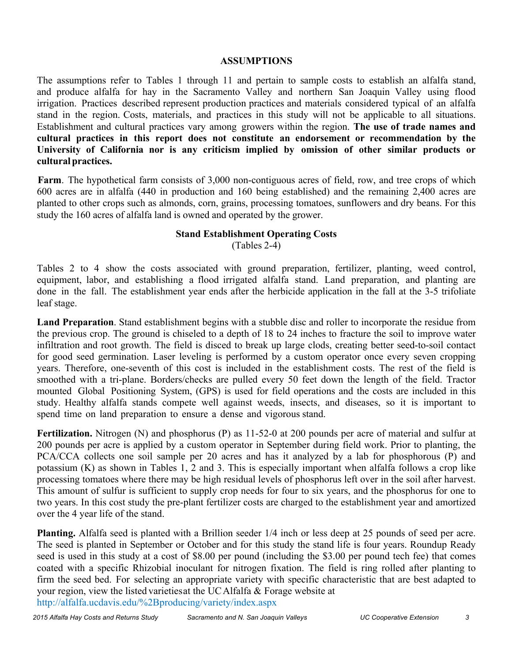## **ASSUMPTIONS**

 The assumptions refer to Tables 1 through 11 and pertain to sample costs to establish an alfalfa stand, and produce alfalfa for hay in the Sacramento Valley and northern San Joaquin Valley using flood irrigation. Practices described represent production practices and materials considered typical of an alfalfa stand in the region. Costs, materials, and practices in this study will not be applicable to all situations. Establishment and cultural practices vary among growers within the region. **The use of trade names and cultural practices in this report does not constitute an endorsement or recommendation by the**  University of California nor is any criticism implied by omission of other similar products or **cultural practices.** 

 study the 160 acres of alfalfa land is owned and operated by the grower. Farm. The hypothetical farm consists of 3,000 non-contiguous acres of field, row, and tree crops of which 600 acres are in alfalfa (440 in production and 160 being established) and the remaining 2,400 acres are planted to other crops such as almonds, corn, grains, processing tomatoes, sunflowers and dry beans. For this

# **Stand Establishment Operating Costs**

(Tables 2-4)

 Tables 2 to 4 show the costs associated with ground preparation, fertilizer, planting, weed control, equipment, labor, and establishing a flood irrigated alfalfa stand. Land preparation, and planting are done in the fall. The establishment year ends after the herbicide application in the fall at the 3-5 trifoliate leaf stage.

 **Land Preparation**. Stand establishment begins with a stubble disc and roller to incorporate the residue from the previous crop. The ground is chiseled to a depth of 18 to 24 inches to fracture the soil to improve water infiltration and root growth. The field is disced to break up large clods, creating better seed-to-soil contact for good seed germination. Laser leveling is performed by a custom operator once every seven cropping years. Therefore, one-seventh of this cost is included in the establishment costs. The rest of the field is smoothed with a tri-plane. Borders/checks are pulled every 50 feet down the length of the field. Tractor mounted Global Positioning System, (GPS) is used for field operations and the costs are included in this study. Healthy alfalfa stands compete well against weeds, insects, and diseases, so it is important to spend time on land preparation to ensure a dense and vigorous stand.

 **Fertilization.** Nitrogen (N) and phosphorus (P) as 11-52-0 at 200 pounds per acre of material and sulfur at 200 pounds per acre is applied by a custom operator in September during field work. Prior to planting, the PCA/CCA collects one soil sample per 20 acres and has it analyzed by a lab for phosphorous (P) and potassium (K) as shown in Tables 1, 2 and 3. This is especially important when alfalfa follows a crop like processing tomatoes where there may be high residual levels of phosphorus left over in the soil after harvest. This amount of sulfur is sufficient to supply crop needs for four to six years, and the phosphorus for one to two years. In this cost study the pre-plant fertilizer costs are charged to the establishment year and amortized over the 4 year life of the stand.

 **Planting.** Alfalfa seed is planted with a Brillion seeder 1/4 inch or less deep at 25 pounds of seed per acre. The seed is planted in September or October and for this study the stand life is four years. Roundup Ready seed is used in this study at a cost of \$8.00 per pound (including the \$3.00 per pound tech fee) that comes coated with a specific Rhizobial inoculant for nitrogen fixation. The field is ring rolled after planting to firm the seed bed. For selecting an appropriate variety with specific characteristic that are best adapted to your region, view the listed varietiesat the UCAlfalfa & Forage website at http://alfalfa.ucdavis.edu/%2Bproducing/variety/index.aspx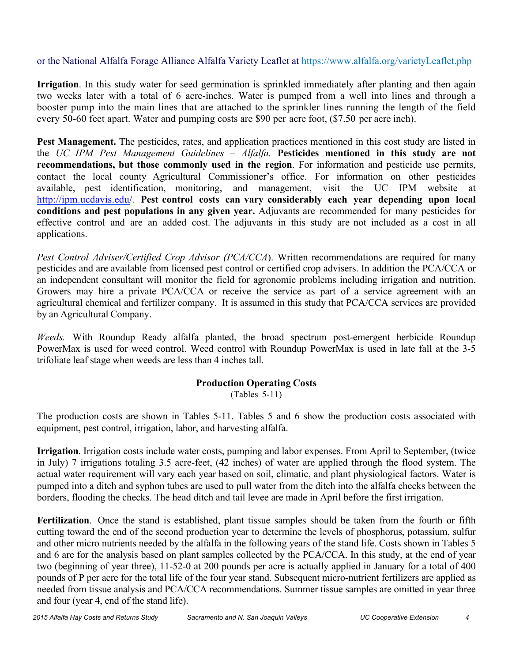# or the National Alfalfa Forage Alliance Alfalfa Variety Leaflet at https://www.alfalfa.org/varietyLeaflet.php

 **Irrigation**. In this study water for seed germination is sprinkled immediately after planting and then again two weeks later with a total of 6 acre-inches. Water is pumped from a well into lines and through a booster pump into the main lines that are attached to the sprinkler lines running the length of the field every 50-60 feet apart. Water and pumping costs are \$90 per acre foot, (\$7.50 per acre inch).

Pest Management. The pesticides, rates, and application practices mentioned in this cost study are listed in  the *UC IPM Pest Management Guidelines – Alfalfa.* **Pesticides mentioned in this study are not recommendations, but those commonly used in the region**. For information and pesticide use permits, contact the local county Agricultural Commissioner's office. For information on other pesticides available, pest identification, monitoring, and management, visit the UC IPM website at  http://ipm.ucdavis.edu/. **Pest control costs can vary considerably each year depending upon local conditions and pest populations in any given year.** Adjuvants are recommended for many pesticides for effective control and are an added cost. The adjuvants in this study are not included as a cost in all applications.

Pest Control Adviser/Certified Crop Advisor (PCA/CCA). Written recommendations are required for many pesticides and are available from licensed pest control or certified crop advisers. In addition the PCA/CCA or an independent consultant will monitor the field for agronomic problems including irrigation and nutrition. Growers may hire a private PCA/CCA or receive the service as part of a service agreement with an agricultural chemical and fertilizer company. It is assumed in this study that PCA/CCA services are provided by an Agricultural Company.

 *Weeds.* With Roundup Ready alfalfa planted, the broad spectrum post-emergent herbicide Roundup PowerMax is used for weed control. Weed control with Roundup PowerMax is used in late fall at the 3-5 trifoliate leaf stage when weeds are less than 4 inches tall.

## **Production Operating Costs**

(Tables 5-11)

 The production costs are shown in Tables 5-11. Tables 5 and 6 show the production costs associated with equipment, pest control, irrigation, labor, and harvesting alfalfa.

 in July) 7 irrigations totaling 3.5 acre-feet, (42 inches) of water are applied through the flood system. The **Irrigation**. Irrigation costs include water costs, pumping and labor expenses. From April to September, (twice actual water requirement will vary each year based on soil, climatic, and plant physiological factors. Water is pumped into a ditch and syphon tubes are used to pull water from the ditch into the alfalfa checks between the borders, flooding the checks. The head ditch and tail levee are made in April before the first irrigation.

 **Fertilization**. Once the stand is established, plant tissue samples should be taken from the fourth or fifth cutting toward the end of the second production year to determine the levels of phosphorus, potassium, sulfur and other micro nutrients needed by the alfalfa in the following years of the stand life. Costs shown in Tables 5 and 6 are for the analysis based on plant samples collected by the PCA/CCA. In this study, at the end of year two (beginning of year three), 11-52-0 at 200 pounds per acre is actually applied in January for a total of 400 and four (year 4, end of the stand life). pounds of P per acre for the total life of the four year stand. Subsequent micro-nutrient fertilizers are applied as needed from tissue analysis and PCA/CCA recommendations. Summer tissue samples are omitted in year three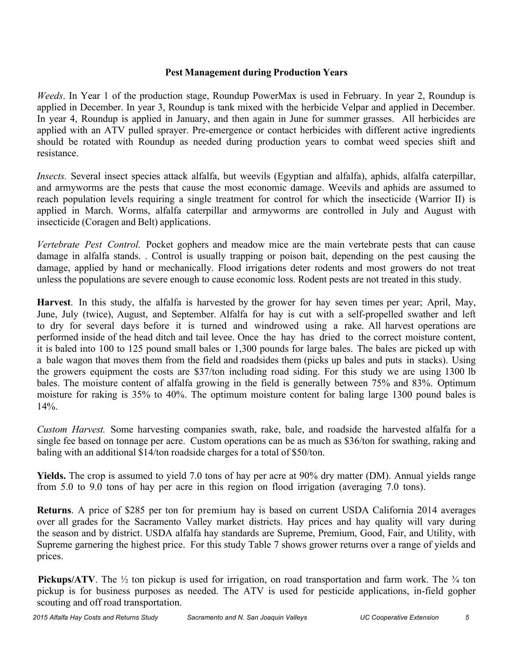## **Pest Management during Production Years**

 *Weeds*. In Year 1 of the production stage, Roundup PowerMax is used in February. In year 2, Roundup is applied with an ATV pulled sprayer. Pre-emergence or contact herbicides with different active ingredients should be rotated with Roundup as needed during production years to combat weed species shift and applied in December. In year 3, Roundup is tank mixed with the herbicide Velpar and applied in December. In year 4, Roundup is applied in January, and then again in June for summer grasses. All herbicides are resistance.

 *Insects.* Several insect species attack alfalfa, but weevils (Egyptian and alfalfa), aphids, alfalfa caterpillar, and armyworms are the pests that cause the most economic damage. Weevils and aphids are assumed to reach population levels requiring a single treatment for control for which the insecticide (Warrior II) is applied in March. Worms, alfalfa caterpillar and armyworms are controlled in July and August with insecticide (Coragen and Belt) applications.

Vertebrate Pest Control. Pocket gophers and meadow mice are the main vertebrate pests that can cause unless the populations are severe enough to cause economic loss. Rodent pests are not treated in this study. damage in alfalfa stands. . Control is usually trapping or poison bait, depending on the pest causing the damage, applied by hand or mechanically. Flood irrigations deter rodents and most growers do not treat

 **Harvest**. In this study, the alfalfa is harvested by the grower for hay seven times per year; April, May, June, July (twice), August, and September. Alfalfa for hay is cut with a self-propelled swather and left to dry for several days before it is turned and windrowed using a rake. All harvest operations are performed inside of the head ditch and tail levee. Once the hay has dried to the correct moisture content, it is baled into 100 to 125 pound small bales or 1,300 pounds for large bales. The bales are picked up with a bale wagon that moves them from the field and roadsides them (picks up bales and puts in stacks). Using the growers equipment the costs are \$37/ton including road siding. For this study we are using 1300 lb bales. The moisture content of alfalfa growing in the field is generally between 75% and 83%. Optimum moisture for raking is 35% to 40%. The optimum moisture content for baling large 1300 pound bales is  $14\%$ 

Custom Harvest. Some harvesting companies swath, rake, bale, and roadside the harvested alfalfa for a single fee based on tonnage per acre. Custom operations can be as much as \$36/ton for swathing, raking and baling with an additional \$14/ton roadside charges for a total of \$50/ton.

 **Yields.** The crop is assumed to yield 7.0 tons of hay per acre at 90% dry matter (DM). Annual yields range from 5.0 to 9.0 tons of hay per acre in this region on flood irrigation (averaging 7.0 tons).

 **Returns**. A price of \$285 per ton for premium hay is based on current USDA California 2014 averages over all grades for the Sacramento Valley market districts. Hay prices and hay quality will vary during the season and by district. USDA alfalfa hay standards are Supreme, Premium, Good, Fair, and Utility, with Supreme garnering the highest price. For this study Table 7 shows grower returns over a range of yields and prices.

**Pickups/ATV**. The  $\frac{1}{2}$  ton pickup is used for irrigation, on road transportation and farm work. The  $\frac{3}{4}$  ton pickup is for business purposes as needed. The ATV is used for pesticide applications, in-field gopher scouting and off road transportation.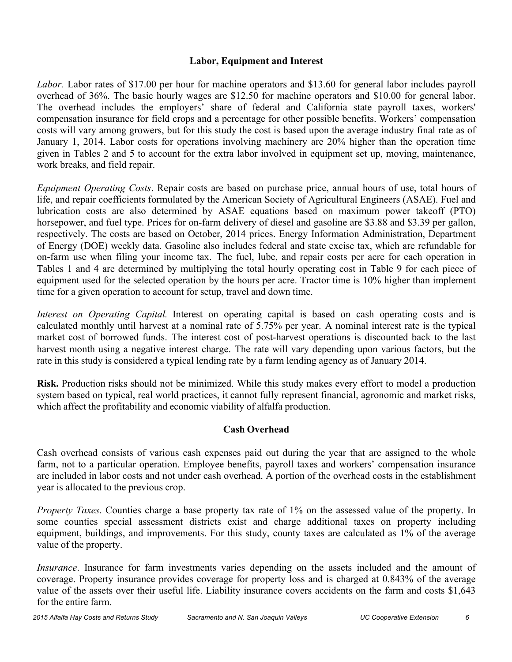# **Labor, Equipment and Interest**

 *Labor.* Labor rates of \$17.00 per hour for machine operators and \$13.60 for general labor includes payroll overhead of 36%. The basic hourly wages are \$12.50 for machine operators and \$10.00 for general labor. The overhead includes the employers' share of federal and California state payroll taxes, workers' compensation insurance for field crops and a percentage for other possible benefits. Workers' compensation costs will vary among growers, but for this study the cost is based upon the average industry final rate as of January 1, 2014. Labor costs for operations involving machinery are 20% higher than the operation time given in Tables 2 and 5 to account for the extra labor involved in equipment set up, moving, maintenance, work breaks, and field repair.

 *Equipment Operating Costs*. Repair costs are based on purchase price, annual hours of use, total hours of life, and repair coefficients formulated by the American Society of Agricultural Engineers (ASAE). Fuel and lubrication costs are also determined by ASAE equations based on maximum power takeoff (PTO) horsepower, and fuel type. Prices for on-farm delivery of diesel and gasoline are \$3.88 and \$3.39 per gallon, respectively. The costs are based on October, 2014 prices. Energy Information Administration, Department of Energy (DOE) weekly data. Gasoline also includes federal and state excise tax, which are refundable for on-farm use when filing your income tax. The fuel, lube, and repair costs per acre for each operation in Tables 1 and 4 are determined by multiplying the total hourly operating cost in Table 9 for each piece of equipment used for the selected operation by the hours per acre. Tractor time is 10% higher than implement time for a given operation to account for setup, travel and down time.

Interest on Operating Capital. Interest on operating capital is based on cash operating costs and is calculated monthly until harvest at a nominal rate of 5.75% per year. A nominal interest rate is the typical market cost of borrowed funds. The interest cost of post-harvest operations is discounted back to the last harvest month using a negative interest charge. The rate will vary depending upon various factors, but the rate in this study is considered a typical lending rate by a farm lending agency as of January 2014.

 **Risk.** Production risks should not be minimized. While this study makes every effort to model a production system based on typical, real world practices, it cannot fully represent financial, agronomic and market risks, which affect the profitability and economic viability of alfalfa production.

# **Cash Overhead**

 Cash overhead consists of various cash expenses paid out during the year that are assigned to the whole farm, not to a particular operation. Employee benefits, payroll taxes and workers' compensation insurance are included in labor costs and not under cash overhead. A portion of the overhead costs in the establishment year is allocated to the previous crop.

 *Property Taxes*. Counties charge a base property tax rate of 1% on the assessed value of the property. In some counties special assessment districts exist and charge additional taxes on property including equipment, buildings, and improvements. For this study, county taxes are calculated as 1% of the average value of the property.

 *Insurance*. Insurance for farm investments varies depending on the assets included and the amount of coverage. Property insurance provides coverage for property loss and is charged at 0.843% of the average value of the assets over their useful life. Liability insurance covers accidents on the farm and costs \$1,643 for the entire farm.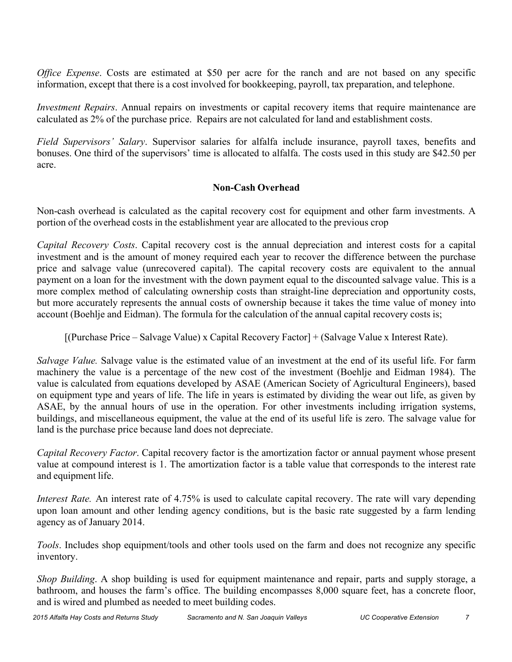*Office Expense*. Costs are estimated at \$50 per acre for the ranch and are not based on any specific information, except that there is a cost involved for bookkeeping, payroll, tax preparation, and telephone.

 *Investment Repairs*. Annual repairs on investments or capital recovery items that require maintenance are calculated as 2% of the purchase price. Repairs are not calculated for land and establishment costs.

 *Field Supervisors' Salary*. Supervisor salaries for alfalfa include insurance, payroll taxes, benefits and bonuses. One third of the supervisors' time is allocated to alfalfa. The costs used in this study are \$42.50 per acre.

# **Non-Cash Overhead**

 Non-cash overhead is calculated as the capital recovery cost for equipment and other farm investments. A portion of the overhead costs in the establishment year are allocated to the previous crop

 *Capital Recovery Costs*. Capital recovery cost is the annual depreciation and interest costs for a capital investment and is the amount of money required each year to recover the difference between the purchase price and salvage value (unrecovered capital). The capital recovery costs are equivalent to the annual payment on a loan for the investment with the down payment equal to the discounted salvage value. This is a more complex method of calculating ownership costs than straight-line depreciation and opportunity costs, but more accurately represents the annual costs of ownership because it takes the time value of money into account (Boehlje and Eidman). The formula for the calculation of the annual capital recovery costs is;

[(Purchase Price – Salvage Value) x Capital Recovery Factor] + (Salvage Value x Interest Rate).

Salvage Value. Salvage value is the estimated value of an investment at the end of its useful life. For farm machinery the value is a percentage of the new cost of the investment (Boehlje and Eidman 1984). The value is calculated from equations developed by ASAE (American Society of Agricultural Engineers), based on equipment type and years of life. The life in years is estimated by dividing the wear out life, as given by ASAE, by the annual hours of use in the operation. For other investments including irrigation systems, buildings, and miscellaneous equipment, the value at the end of its useful life is zero. The salvage value for land is the purchase price because land does not depreciate.

*Capital Recovery Factor*. Capital recovery factor is the amortization factor or annual payment whose present value at compound interest is 1. The amortization factor is a table value that corresponds to the interest rate and equipment life.

*Interest Rate.* An interest rate of 4.75% is used to calculate capital recovery. The rate will vary depending upon loan amount and other lending agency conditions, but is the basic rate suggested by a farm lending agency as of January 2014.

 *Tools*. Includes shop equipment/tools and other tools used on the farm and does not recognize any specific inventory.

 *Shop Building*. A shop building is used for equipment maintenance and repair, parts and supply storage, a bathroom, and houses the farm's office. The building encompasses 8,000 square feet, has a concrete floor, and is wired and plumbed as needed to meet building codes.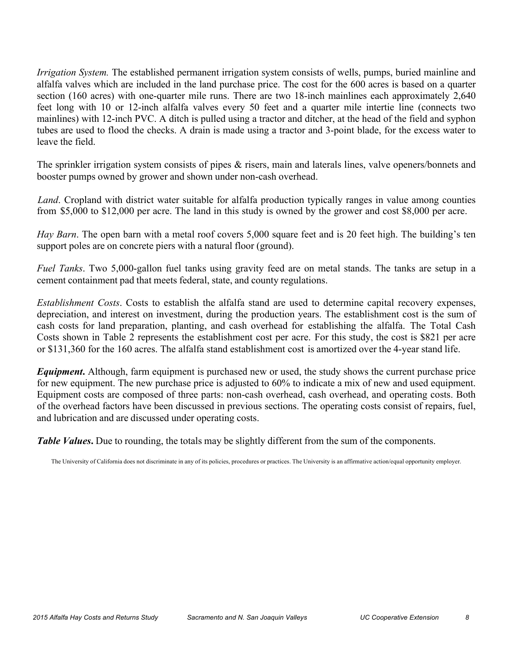*Irrigation System.* The established permanent irrigation system consists of wells, pumps, buried mainline and alfalfa valves which are included in the land purchase price. The cost for the 600 acres is based on a quarter section (160 acres) with one-quarter mile runs. There are two 18-inch mainlines each approximately 2,640 feet long with 10 or 12-inch alfalfa valves every 50 feet and a quarter mile intertie line (connects two mainlines) with 12-inch PVC. A ditch is pulled using a tractor and ditcher, at the head of the field and syphon tubes are used to flood the checks. A drain is made using a tractor and 3-point blade, for the excess water to leave the field.

The sprinkler irrigation system consists of pipes & risers, main and laterals lines, valve openers/bonnets and booster pumps owned by grower and shown under non-cash overhead.

 *Land*. Cropland with district water suitable for alfalfa production typically ranges in value among counties from \$5,000 to \$12,000 per acre. The land in this study is owned by the grower and cost \$8,000 per acre.

 *Hay Barn*. The open barn with a metal roof covers 5,000 square feet and is 20 feet high. The building's ten support poles are on concrete piers with a natural floor (ground).

 *Fuel Tanks*. Two 5,000-gallon fuel tanks using gravity feed are on metal stands. The tanks are setup in a cement containment pad that meets federal, state, and county regulations.

 *Establishment Costs*. Costs to establish the alfalfa stand are used to determine capital recovery expenses, depreciation, and interest on investment, during the production years. The establishment cost is the sum of cash costs for land preparation, planting, and cash overhead for establishing the alfalfa. The Total Cash Costs shown in Table 2 represents the establishment cost per acre. For this study, the cost is \$821 per acre or \$131,360 for the 160 acres. The alfalfa stand establishment cost is amortized over the 4-year stand life.

 *Equipment***.** Although, farm equipment is purchased new or used, the study shows the current purchase price for new equipment. The new purchase price is adjusted to 60% to indicate a mix of new and used equipment. Equipment costs are composed of three parts: non-cash overhead, cash overhead, and operating costs. Both of the overhead factors have been discussed in previous sections. The operating costs consist of repairs, fuel, and lubrication and are discussed under operating costs.

**Table Values.** Due to rounding, the totals may be slightly different from the sum of the components.

The University of California does not discriminate in any of its policies, procedures or practices. The University is an affirmative action/equal opportunity employer.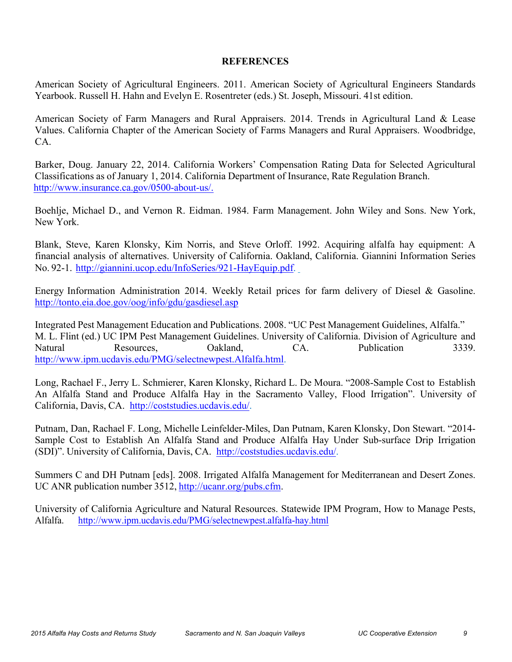## **REFERENCES**

 American Society of Agricultural Engineers. 2011. American Society of Agricultural Engineers Standards Yearbook. Russell H. Hahn and Evelyn E. Rosentreter (eds.) St. Joseph, Missouri. 41st edition.

American Society of Farm Managers and Rural Appraisers. 2014. Trends in Agricultural Land & Lease Values. California Chapter of the American Society of Farms Managers and Rural Appraisers. Woodbridge, CA.

 Barker, Doug. January 22, 2014. California Workers' Compensation Rating Data for Selected Agricultural Classifications as of January 1, 2014. California Department of Insurance, Rate Regulation Branch. http://www.insurance.ca.gov/0500-about-us/.

 Boehlje, Michael D., and Vernon R. Eidman. 1984. Farm Management. John Wiley and Sons. New York, New York.

 Blank, Steve, Karen Klonsky, Kim Norris, and Steve Orloff. 1992. Acquiring alfalfa hay equipment: A financial analysis of alternatives. University of California. Oakland, California. Giannini Information Series No. 92-1. http://giannini.ucop.edu/InfoSeries/921-HayEquip.pdf.

 Energy Information Administration 2014. Weekly Retail prices for farm delivery of Diesel & Gasoline. http://tonto.eia.doe.gov/oog/info/gdu/gasdiesel.asp

 Integrated Pest Management Education and Publications. 2008. "UC Pest Management Guidelines, Alfalfa." M. L. Flint (ed.) UC IPM Pest Management Guidelines. University of California. Division of Agriculture and Natural Resources, Oakland, CA. Publication 3339. http://www.ipm.ucdavis.edu/PMG/selectnewpest.Alfalfa.html.

 Long, Rachael F., Jerry L. Schmierer, Karen Klonsky, Richard L. De Moura. "2008-Sample Cost to Establish An Alfalfa Stand and Produce Alfalfa Hay in the Sacramento Valley, Flood Irrigation". University of California, Davis, CA. http://coststudies.ucdavis.edu/.

 Putnam, Dan, Rachael F. Long, Michelle Leinfelder-Miles, Dan Putnam, Karen Klonsky, Don Stewart. "2014- Sample Cost to Establish An Alfalfa Stand and Produce Alfalfa Hay Under Sub-surface Drip Irrigation (SDI)". University of California, Davis, CA. http://coststudies.ucdavis.edu/.

 Summers C and DH Putnam [eds]. 2008. Irrigated Alfalfa Management for Mediterranean and Desert Zones. UC ANR publication number 3512, http://ucanr.org/pubs.cfm.

 University of California Agriculture and Natural Resources. Statewide IPM Program, How to Manage Pests, Alfalfa. Alfalfa. http://www.ipm.ucdavis.edu/PMG/selectnewpest.alfalfa-hay.html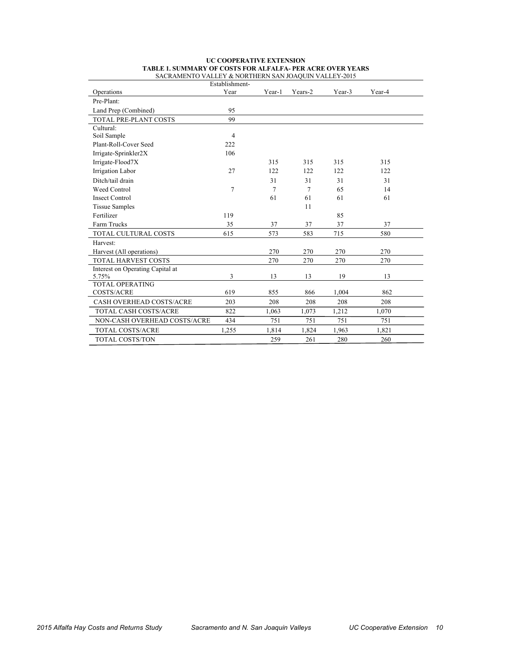|                                  | Establishment- |        |         |        |        |
|----------------------------------|----------------|--------|---------|--------|--------|
| Operations                       | Year           | Year-1 | Years-2 | Year-3 | Year-4 |
| Pre-Plant:                       |                |        |         |        |        |
| Land Prep (Combined)             | 95             |        |         |        |        |
| TOTAL PRE-PLANT COSTS            | 99             |        |         |        |        |
| Cultural:                        |                |        |         |        |        |
| Soil Sample                      | $\overline{4}$ |        |         |        |        |
| Plant-Roll-Cover Seed            | 222            |        |         |        |        |
| Irrigate-Sprinkler2X             | 106            |        |         |        |        |
| Irrigate-Flood7X                 |                | 315    | 315     | 315    | 315    |
| Irrigation Labor                 | 27             | 122    | 122     | 122    | 122    |
| Ditch/tail drain                 |                | 31     | 31      | 31     | 31     |
| Weed Control                     | 7              | 7      | 7       | 65     | 14     |
| <b>Insect Control</b>            |                | 61     | 61      | 61     | 61     |
| <b>Tissue Samples</b>            |                |        | 11      |        |        |
| Fertilizer                       | 119            |        |         | 85     |        |
| Farm Trucks                      | 35             | 37     | 37      | 37     | 37     |
| TOTAL CULTURAL COSTS             | 615            | 573    | 583     | 715    | 580    |
| Harvest:                         |                |        |         |        |        |
| Harvest (All operations)         |                | 270    | 270     | 270    | 270    |
| TOTAL HARVEST COSTS              |                | 270    | 270     | 270    | 270    |
| Interest on Operating Capital at |                |        |         |        |        |
| 5.75%                            | 3              | 13     | 13      | 19     | 13     |
| <b>TOTAL OPERATING</b>           |                |        |         |        |        |
| <b>COSTS/ACRE</b>                | 619            | 855    | 866     | 1,004  | 862    |
| CASH OVERHEAD COSTS/ACRE         | 203            | 208    | 208     | 208    | 208    |
| <b>TOTAL CASH COSTS/ACRE</b>     | 822            | 1,063  | 1,073   | 1,212  | 1,070  |
| NON-CASH OVERHEAD COSTS/ACRE     | 434            | 751    | 751     | 751    | 751    |
| <b>TOTAL COSTS/ACRE</b>          | 1,255          | 1,814  | 1,824   | 1,963  | 1,821  |
| <b>TOTAL COSTS/TON</b>           |                | 259    | 261     | 280    | 260    |

#### **UC COOPERATIVE EXTENSION TABLE 1. SUMMARY OF COSTS FOR ALFALFA- PER ACRE OVER YEARS** SACRAMENTO VALLEY & NORTHERN SAN JOAQUIN VALLEY-2015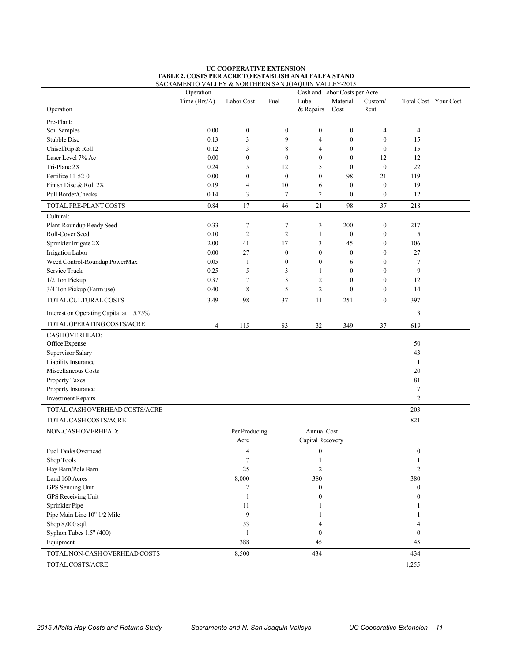|                                        | SACRAMENTO VALLEY & NORTHERN SAN JOAQUIN VALLEY-2015<br>Operation |                       |                |                                 | Cash and Labor Costs per Acre |                  |                        |                      |
|----------------------------------------|-------------------------------------------------------------------|-----------------------|----------------|---------------------------------|-------------------------------|------------------|------------------------|----------------------|
|                                        | Time (Hrs/A)                                                      | Labor Cost            | Fuel           | Lube                            | Material                      | Custom/          |                        | Total Cost Your Cost |
| Operation                              |                                                                   |                       |                | & Repairs                       | Cost                          | Rent             |                        |                      |
| Pre-Plant:                             |                                                                   |                       |                |                                 |                               |                  |                        |                      |
| Soil Samples                           | 0.00                                                              | $\boldsymbol{0}$      | $\mathbf{0}$   | $\boldsymbol{0}$                | $\boldsymbol{0}$              | 4                | $\overline{4}$         |                      |
| Stubble Disc                           | 0.13                                                              | 3                     | 9              | $\overline{4}$                  | $\boldsymbol{0}$              | $\mathbf{0}$     | 15                     |                      |
| Chisel/Rip & Roll                      | 0.12                                                              | 3                     | 8              | $\overline{4}$                  | $\boldsymbol{0}$              | $\boldsymbol{0}$ | 15                     |                      |
| Laser Level 7% Ac                      | 0.00                                                              | $\boldsymbol{0}$      | $\mathbf{0}$   | $\boldsymbol{0}$                | $\boldsymbol{0}$              | 12               | 12                     |                      |
| Tri-Plane 2X                           | 0.24                                                              | 5                     | 12             | 5                               | $\boldsymbol{0}$              | $\mathbf{0}$     | 22                     |                      |
| Fertilize 11-52-0                      | 0.00                                                              | $\boldsymbol{0}$      | $\mathbf{0}$   | $\mathbf{0}$                    | 98                            | 21               | 119                    |                      |
| Finish Disc & Roll 2X                  | 0.19                                                              | 4                     | 10             | 6                               | $\boldsymbol{0}$              | $\boldsymbol{0}$ | 19                     |                      |
| Pull Border/Checks                     | 0.14                                                              | 3                     | $\tau$         | $\overline{2}$                  | $\boldsymbol{0}$              | $\boldsymbol{0}$ | 12                     |                      |
| TOTAL PRE-PLANT COSTS                  | 0.84                                                              | 17                    | 46             | 21                              | 98                            | 37               | 218                    |                      |
| Cultural:                              |                                                                   |                       |                |                                 |                               |                  |                        |                      |
| Plant-Roundup Ready Seed               | 0.33                                                              | 7                     | 7              | 3                               | 200                           | $\boldsymbol{0}$ | 217                    |                      |
| Roll-Cover Seed                        | 0.10                                                              | $\overline{c}$        | $\overline{c}$ | 1                               | $\boldsymbol{0}$              | $\boldsymbol{0}$ | 5                      |                      |
| Sprinkler Irrigate 2X                  | 2.00                                                              | 41                    | 17             | 3                               | 45                            | $\boldsymbol{0}$ | 106                    |                      |
| Irrigation Labor                       | 0.00                                                              | $27\,$                | $\mathbf{0}$   | $\boldsymbol{0}$                | $\boldsymbol{0}$              | $\boldsymbol{0}$ | 27                     |                      |
| Weed Control-Roundup PowerMax          | 0.05                                                              | 1                     | $\mathbf{0}$   | $\boldsymbol{0}$                | 6                             | $\boldsymbol{0}$ | $\overline{7}$         |                      |
| Service Truck                          | 0.25                                                              | 5                     | 3              | 1                               | $\boldsymbol{0}$              | $\mathbf{0}$     | 9                      |                      |
| 1/2 Ton Pickup                         | 0.37                                                              | 7                     | 3              | $\overline{2}$                  | $\boldsymbol{0}$              | $\mathbf{0}$     | 12                     |                      |
| 3/4 Ton Pickup (Farm use)              | 0.40                                                              | 8                     | 5              | $\overline{2}$                  | $\boldsymbol{0}$              | $\boldsymbol{0}$ | 14                     |                      |
| TOTAL CULTURAL COSTS                   | 3.49                                                              | 98                    | 37             | 11                              | 251                           | $\mathbf{0}$     | 397                    |                      |
| Interest on Operating Capital at 5.75% |                                                                   |                       |                |                                 |                               |                  | 3                      |                      |
| TOTAL OPERATING COSTS/ACRE             | 4                                                                 | 115                   | 83             | 32                              | 349                           | 37               | 619                    |                      |
| <b>CASHOVERHEAD:</b>                   |                                                                   |                       |                |                                 |                               |                  |                        |                      |
| Office Expense                         |                                                                   |                       |                |                                 |                               |                  | 50                     |                      |
| <b>Supervisor Salary</b>               |                                                                   |                       |                |                                 |                               |                  | 43                     |                      |
| Liability Insurance                    |                                                                   |                       |                |                                 |                               |                  | 1                      |                      |
| Miscellaneous Costs                    |                                                                   |                       |                |                                 |                               |                  | 20                     |                      |
| Property Taxes                         |                                                                   |                       |                |                                 |                               |                  | 81                     |                      |
|                                        |                                                                   |                       |                |                                 |                               |                  | $\tau$                 |                      |
| Property Insurance                     |                                                                   |                       |                |                                 |                               |                  | $\overline{c}$         |                      |
| <b>Investment Repairs</b>              |                                                                   |                       |                |                                 |                               |                  |                        |                      |
| TOTAL CASH OVERHEAD COSTS/ACRE         |                                                                   |                       |                |                                 |                               |                  | 203                    |                      |
| TOTAL CASH COSTS/ACRE                  |                                                                   |                       |                |                                 |                               |                  | 821                    |                      |
| NON-CASHOVERHEAD:                      |                                                                   | Per Producing<br>Acre |                | Annual Cost<br>Capital Recovery |                               |                  |                        |                      |
| <b>Fuel Tanks Overhead</b>             |                                                                   | $\overline{4}$        |                | $\boldsymbol{0}$                |                               |                  | $\boldsymbol{0}$       |                      |
| Shop Tools                             |                                                                   | 7                     |                | 1                               |                               |                  | 1                      |                      |
| Hay Barn/Pole Barn                     |                                                                   | 25                    |                | $\sqrt{2}$                      |                               |                  | $\sqrt{2}$             |                      |
| Land 160 Acres                         |                                                                   | 8,000                 |                | 380                             |                               |                  | 380                    |                      |
| GPS Sending Unit                       |                                                                   | 2                     |                | $\boldsymbol{0}$                |                               |                  | $\boldsymbol{0}$       |                      |
| GPS Receiving Unit                     |                                                                   | 1                     |                | $\boldsymbol{0}$                |                               |                  | $\mathbf{0}$           |                      |
| Sprinkler Pipe                         |                                                                   | 11                    |                |                                 |                               |                  |                        |                      |
| Pipe Main Line 10" 1/2 Mile            |                                                                   | 9                     |                |                                 |                               |                  |                        |                      |
|                                        |                                                                   |                       |                |                                 |                               |                  |                        |                      |
| Shop $8,000$ sqft                      |                                                                   | 53                    |                | 4                               |                               |                  | 4                      |                      |
| Syphon Tubes 1.5" (400)<br>Equipment   |                                                                   | 1<br>388              |                | $\mathbf{0}$<br>45              |                               |                  | $\boldsymbol{0}$<br>45 |                      |
| TOTAL NON-CASH OVERHEAD COSTS          |                                                                   | 8,500                 |                | 434                             |                               |                  | 434                    |                      |
| TOTAL COSTS/ACRE                       |                                                                   |                       |                |                                 |                               |                  | 1,255                  |                      |
|                                        |                                                                   |                       |                |                                 |                               |                  |                        |                      |

#### **UC COOPERATIVE EXTENSION TABLE 2. COSTS PER ACRE TO ESTABLISH AN ALFALFA STAND** SACRAMENTO VALLEY & NORTHERN SAN JOAQUIN VALLEY-2015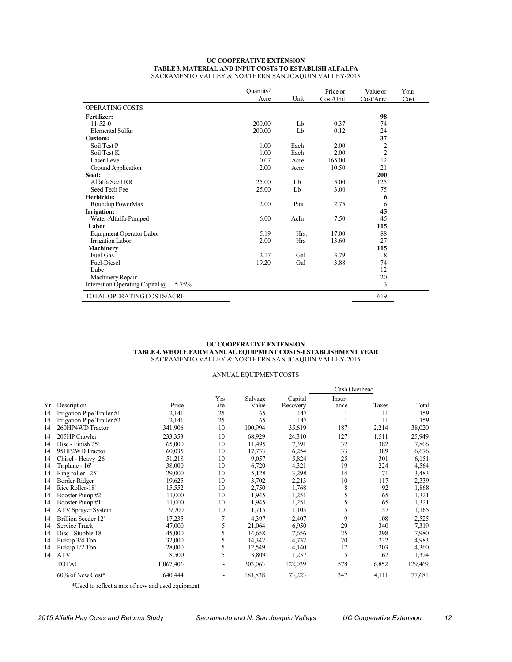#### **TABLE 3. MATERIAL AND INPUT COSTS TO ESTABLISH ALFALFA** SACRAMENTO VALLEY & NORTHERN SAN JOAQUIN VALLEY-2015 **UC COOPERATIVE EXTENSION**

|                                                 | Quantity/ |            | Price or  | Value or       | Your |
|-------------------------------------------------|-----------|------------|-----------|----------------|------|
|                                                 | Acre      | Unit       | Cost/Unit | Cost/Acre      | Cost |
| OPERATING COSTS                                 |           |            |           |                |      |
| <b>Fertilizer:</b>                              |           |            |           | 98             |      |
| $11 - 52 - 0$                                   | 200.00    | Lb         | 0.37      | 74             |      |
| Elemental Sulfur                                | 200.00    | Lb         | 0.12      | 24             |      |
| Custom:                                         |           |            |           | 37             |      |
| Soil Test P                                     | 1.00      | Each       | 2.00      | $\overline{2}$ |      |
| Soil Test K                                     | 1.00      | Each       | 2.00      | $\overline{2}$ |      |
| Laser Level                                     | 0.07      | Acre       | 165.00    | 12             |      |
| Ground Application                              | 2.00      | Acre       | 10.50     | 21             |      |
| Seed:                                           |           |            |           | 200            |      |
| Alfalfa Seed RR                                 | 25.00     | Lb         | 5.00      | 125            |      |
| Seed Tech Fee                                   | 25.00     | Lb         | 3.00      | 75             |      |
| Herbicide:                                      |           |            |           | 6              |      |
| Roundup PowerMax                                | 2.00      | Pint       | 2.75      | 6              |      |
| Irrigation:                                     |           |            |           | 45             |      |
| Water-Alfalfa-Pumped                            | 6.00      | AcIn       | 7.50      | 45             |      |
| Labor                                           |           |            |           | 115            |      |
| Equipment Operator Labor                        | 5.19      | Hrs.       | 17.00     | 88             |      |
| Irrigation Labor                                | 2.00      | <b>Hrs</b> | 13.60     | 27             |      |
| <b>Machinery</b>                                |           |            |           | 115            |      |
| Fuel-Gas                                        | 2.17      | Gal        | 3.79      | 8              |      |
| <b>Fuel-Diesel</b>                              | 19.20     | Gal        | 3.88      | 74             |      |
| Lube                                            |           |            |           | 12             |      |
| Machinery Repair                                |           |            |           | 20             |      |
| Interest on Operating Capital $\omega$<br>5.75% |           |            |           | 3              |      |
| TOTAL OPERATING COSTS/ACRE                      |           |            |           | 619            |      |

#### **UC COOPERATIVE EXTENSION TABLE 4. WHOLE FARM ANNUAL EQUIPMENT COSTS-ESTABLISHMENT YEAR**  SACRAMENTO VALLEY & NORTHERN SAN JOAQUIN VALLEY-2015

|    | ANNUAL EQUIPMENT COSTS     |           |                |                  |                     |                |       |         |  |  |  |
|----|----------------------------|-----------|----------------|------------------|---------------------|----------------|-------|---------|--|--|--|
|    | Cash Overhead              |           |                |                  |                     |                |       |         |  |  |  |
| Yr | Description                | Price     | Yrs<br>Life    | Salvage<br>Value | Capital<br>Recovery | Insur-<br>ance | Taxes | Total   |  |  |  |
| 14 | Irrigation Pipe Trailer #1 | 2,141     | 25             | 65               | 147                 |                | 11    | 159     |  |  |  |
| 14 | Irrigation Pipe Trailer #2 | 2,141     | 25             | 65               | 147                 |                | 11    | 159     |  |  |  |
| 14 | 260HP4WD Tractor           | 341,906   | 10             | 100,994          | 35,619              | 187            | 2,214 | 38,020  |  |  |  |
| 14 | 205HP Crawler              | 233,353   | 10             | 68,929           | 24,310              | 127            | 1,511 | 25,949  |  |  |  |
| 14 | Disc - Finish 25'          | 65,000    | 10             | 11,495           | 7,391               | 32             | 382   | 7,806   |  |  |  |
| 14 | 95HP2WD Tractor            | 60,035    | 10             | 17,733           | 6,254               | 33             | 389   | 6,676   |  |  |  |
| 14 | Chisel - Heavy 26'         | 51,218    | 10             | 9,057            | 5,824               | 25             | 301   | 6,151   |  |  |  |
| 14 | Triplane - 16'             | 38,000    | 10             | 6,720            | 4,321               | 19             | 224   | 4,564   |  |  |  |
| 14 | Ring roller - 25'          | 29,000    | 10             | 5,128            | 3,298               | 14             | 171   | 3,483   |  |  |  |
| 14 | Border-Ridger              | 19,625    | 10             | 3,702            | 2,213               | 10             | 117   | 2,339   |  |  |  |
| 14 | Rice Roller-18'            | 15,552    | 10             | 2,750            | 1,768               | 8              | 92    | 1,868   |  |  |  |
| 14 | Booster Pump#2             | 11,000    | 10             | 1,945            | 1,251               | 5              | 65    | 1,321   |  |  |  |
| 14 | Booster Pump#1             | 11,000    | 10             | 1,945            | 1,251               | 5              | 65    | 1,321   |  |  |  |
| 14 | ATV Sprayer System         | 9,700     | 10             | 1,715            | 1,103               | 5              | 57    | 1,165   |  |  |  |
| 14 | Brillion Seeder 12'        | 17,235    |                | 4,397            | 2,407               | 9              | 108   | 2,525   |  |  |  |
| 14 | Service Truck              | 47,000    | 5              | 21,064           | 6,950               | 29             | 340   | 7,319   |  |  |  |
| 14 | Disc - Stubble 18'         | 45,000    |                | 14,658           | 7,656               | 25             | 298   | 7,980   |  |  |  |
| 14 | Pickup 3/4 Ton             | 32,000    |                | 14,342           | 4,732               | 20             | 232   | 4,983   |  |  |  |
| 14 | Pickup 1/2 Ton             | 28,000    | 5              | 12,549           | 4,140               | 17             | 203   | 4,360   |  |  |  |
| 14 | <b>ATV</b>                 | 8,500     | 5              | 3,809            | 1,257               | 5              | 62    | 1,324   |  |  |  |
|    | <b>TOTAL</b>               | 1,067,406 | $\blacksquare$ | 303,063          | 122,039             | 578            | 6,852 | 129,469 |  |  |  |
|    | 60% of New Cost*           | 640,444   | -              | 181,838          | 73,223              | 347            | 4,111 | 77,681  |  |  |  |

\*Used to reflect a mix of new and used equipment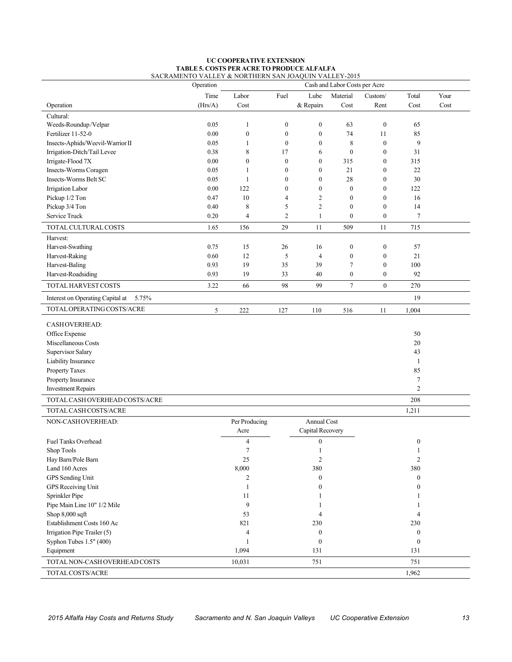#### **UC COOPERATIVE EXTENSION TABLE 5. COSTS PER ACRE TO PRODUCE ALFALFA**  SACRAMENTO VALLEY & NORTHERN SAN JOAQUIN VALLEY-2015

|                                           | Operation |                  |                  |                  | Cash and Labor Costs per Acre |                  |                  |      |
|-------------------------------------------|-----------|------------------|------------------|------------------|-------------------------------|------------------|------------------|------|
|                                           | Time      | Labor            | Fuel             | Lube             | Material                      | Custom/          | Total            | Your |
| Operation                                 | (Hrs/A)   | Cost             |                  | & Repairs        | Cost                          | Rent             | Cost             | Cost |
| Cultural:                                 |           |                  |                  |                  |                               |                  |                  |      |
| Weeds-Roundup/Velpar                      | 0.05      | 1                | $\boldsymbol{0}$ | $\boldsymbol{0}$ | 63                            | $\boldsymbol{0}$ | 65               |      |
| Fertilizer 11-52-0                        | 0.00      | $\boldsymbol{0}$ | $\boldsymbol{0}$ | $\boldsymbol{0}$ | 74                            | 11               | 85               |      |
| Insects-Aphids/Weevil-Warrior II          | 0.05      | $\mathbf{1}$     | $\boldsymbol{0}$ | $\boldsymbol{0}$ | 8                             | $\boldsymbol{0}$ | 9                |      |
| Irrigation-Ditch/Tail Levee               | 0.38      | 8                | 17               | 6                | $\boldsymbol{0}$              | $\boldsymbol{0}$ | 31               |      |
| Irrigate-Flood 7X                         | 0.00      | $\boldsymbol{0}$ | $\mathbf{0}$     | $\theta$         | 315                           | $\boldsymbol{0}$ | 315              |      |
| Insects-Worms Coragen                     | 0.05      | 1                | $\boldsymbol{0}$ | $\boldsymbol{0}$ | 21                            | $\boldsymbol{0}$ | 22               |      |
| Insects-Worms Belt SC                     | 0.05      | 1                | $\overline{0}$   | $\boldsymbol{0}$ | 28                            | $\boldsymbol{0}$ | 30               |      |
| Irrigation Labor                          | 0.00      | 122              | $\overline{0}$   | $\boldsymbol{0}$ | $\boldsymbol{0}$              | $\boldsymbol{0}$ | 122              |      |
| Pickup 1/2 Ton                            | 0.47      | 10               | 4                | $\overline{c}$   | $\boldsymbol{0}$              | $\boldsymbol{0}$ | 16               |      |
| Pickup 3/4 Ton                            | 0.40      | 8                | 5                | $\overline{2}$   | $\boldsymbol{0}$              | $\boldsymbol{0}$ | 14               |      |
| Service Truck                             | 0.20      | 4                | 2                | 1                | $\boldsymbol{0}$              | $\boldsymbol{0}$ | 7                |      |
| TOTAL CULTURAL COSTS                      | 1.65      | 156              | 29               | 11               | 509                           | 11               | 715              |      |
| Harvest:                                  |           |                  |                  |                  |                               |                  |                  |      |
| Harvest-Swathing                          | 0.75      | 15               | 26               | 16               | $\boldsymbol{0}$              | $\boldsymbol{0}$ | 57               |      |
| Harvest-Raking                            | 0.60      | 12               | 5                | $\overline{4}$   | $\boldsymbol{0}$              | $\boldsymbol{0}$ | 21               |      |
| Harvest-Baling                            | 0.93      | 19               | 35               | 39               | $\tau$                        | $\boldsymbol{0}$ | 100              |      |
| Harvest-Roadsiding                        | 0.93      | 19               | 33               | 40               | $\boldsymbol{0}$              | $\boldsymbol{0}$ | 92               |      |
| TOTAL HARVEST COSTS                       | 3.22      | 66               | 98               | 99               | $\tau$                        | $\boldsymbol{0}$ | 270              |      |
|                                           |           |                  |                  |                  |                               |                  | 19               |      |
| Interest on Operating Capital at<br>5.75% |           |                  |                  |                  |                               |                  |                  |      |
| TOTAL OPERATING COSTS/ACRE                | 5         | 222              | 127              | 110              | 516                           | 11               | 1,004            |      |
| CASHOVERHEAD:                             |           |                  |                  |                  |                               |                  |                  |      |
| Office Expense                            |           |                  |                  |                  |                               |                  | 50               |      |
| Miscellaneous Costs                       |           |                  |                  |                  |                               |                  | 20               |      |
| Supervisor Salary                         |           |                  |                  |                  |                               |                  | 43               |      |
| Liability Insurance                       |           |                  |                  |                  |                               |                  | 1                |      |
| Property Taxes                            |           |                  |                  |                  |                               |                  | 85               |      |
| Property Insurance                        |           |                  |                  |                  |                               |                  | $\tau$           |      |
| <b>Investment Repairs</b>                 |           |                  |                  |                  |                               |                  | $\overline{2}$   |      |
| TOTAL CASH OVERHEAD COSTS/ACRE            |           |                  |                  |                  |                               |                  | 208              |      |
| TOTAL CASH COSTS/ACRE                     |           |                  |                  |                  |                               |                  | 1,211            |      |
| NON-CASHOVERHEAD:                         |           | Per Producing    |                  | Annual Cost      |                               |                  |                  |      |
|                                           |           | Acre             |                  | Capital Recovery |                               |                  |                  |      |
| <b>Fuel Tanks Overhead</b>                |           | $\overline{4}$   |                  | $\boldsymbol{0}$ |                               |                  | 0                |      |
| Shop Tools                                |           | $\overline{7}$   |                  | 1                |                               |                  | 1                |      |
| Hay Barn/Pole Barn                        |           | 25               |                  | $\overline{c}$   |                               |                  | $\overline{c}$   |      |
| Land 160 Acres                            |           | 8,000            |                  | 380              |                               |                  | 380              |      |
| GPS Sending Unit                          |           | $\overline{c}$   |                  | $\boldsymbol{0}$ |                               |                  | $\boldsymbol{0}$ |      |
| GPS Receiving Unit                        |           | $\mathbf{1}$     |                  | $\boldsymbol{0}$ |                               |                  | $\Omega$         |      |
| Sprinkler Pipe                            |           | 11               |                  |                  |                               |                  |                  |      |
| Pipe Main Line 10" 1/2 Mile               |           | 9                |                  |                  |                               |                  |                  |      |
| Shop 8,000 sqft                           |           | 53               |                  | 4                |                               |                  | 4                |      |
| Establishment Costs 160 Ac                |           | 821              |                  | 230              |                               |                  | 230              |      |
| Irrigation Pipe Trailer (5)               |           | $\overline{4}$   |                  | $\boldsymbol{0}$ |                               |                  | $\overline{0}$   |      |
| Syphon Tubes 1.5" (400)                   |           | 1                |                  | $\boldsymbol{0}$ |                               |                  | $\boldsymbol{0}$ |      |
| Equipment                                 |           | 1,094            |                  | 131              |                               |                  | 131              |      |
| TOTAL NON-CASH OVERHEAD COSTS             |           | 10,031           |                  | 751              |                               |                  | 751              |      |
| TOTAL COSTS/ACRE                          |           |                  |                  |                  |                               |                  | 1,962            |      |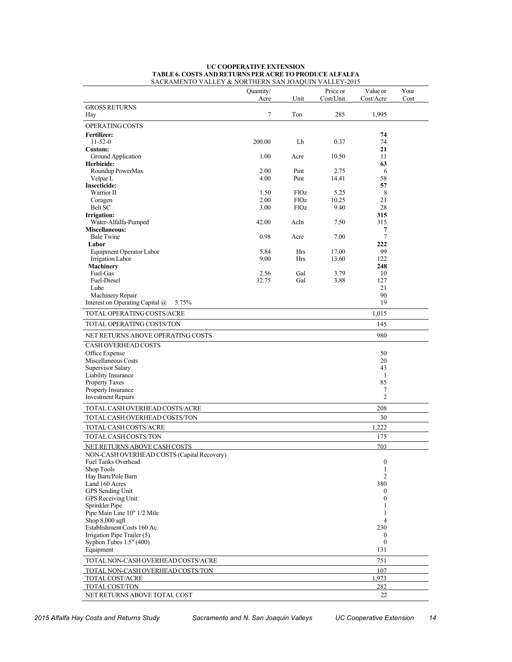|                                                 | Quantity/<br>Acre | Unit        | Price or<br>Cost/Unit | Value or<br>Cost/Acre | Your<br>Cost |
|-------------------------------------------------|-------------------|-------------|-----------------------|-----------------------|--------------|
| <b>GROSS RETURNS</b><br>Hay                     | 7                 | Ton         | 285                   | 1,995                 |              |
| OPERATING COSTS                                 |                   |             |                       |                       |              |
| <b>Fertilizer:</b>                              |                   |             |                       | 74                    |              |
| $11-52-0$                                       | 200.00            | Lb          | 0.37                  | 74                    |              |
| Custom:                                         |                   |             |                       | 21                    |              |
| Ground Application                              | 1.00              | Acre        | 10.50                 | 11                    |              |
| Herbicide:<br>Roundup PowerMax                  | 2.00              | Pint        | 2.75                  | 63<br>6               |              |
| Velpar L                                        | 4.00              | Pint        | 14.41                 | 58                    |              |
| <b>Insecticide:</b>                             |                   |             |                       | 57                    |              |
| Warrior II                                      | 1.50              | <b>FlOz</b> | 5.25                  | 8                     |              |
| Coragen                                         | 2.00              | <b>FlOz</b> | 10.25                 | 21                    |              |
| Belt SC                                         | 3.00              | <b>FlOz</b> | 9.40                  | 28                    |              |
| Irrigation:<br>Water-Alfalfa-Pumped             | 42.00             | AcIn        | 7.50                  | 315<br>315            |              |
| <b>Miscellaneous:</b>                           |                   |             |                       | 7                     |              |
| <b>Bale Twine</b>                               | 0.98              | Acre        | 7.00                  | 7                     |              |
| Labor                                           |                   |             |                       | 222                   |              |
| Equipment Operator Labor                        | 5.84              | Hrs         | 17.00                 | 99                    |              |
| <b>Irrigation Labor</b>                         | 9.00              | Hrs         | 13.60                 | 122                   |              |
| <b>Machinery</b>                                |                   |             |                       | 248                   |              |
| Fuel-Gas<br>Fuel-Diesel                         | 2.56<br>32.75     | Gal<br>Gal  | 3.79<br>3.88          | 10<br>127             |              |
| Lube                                            |                   |             |                       | 21                    |              |
| Machinery Repair                                |                   |             |                       | 90                    |              |
| Interest on Operating Capital @<br>5.75%        |                   |             |                       | 19                    |              |
| TOTAL OPERATING COSTS/ACRE                      |                   |             |                       | 1,015                 |              |
| <b>TOTAL OPERATING COSTS/TON</b>                |                   |             |                       | 145                   |              |
| NET RETURNS ABOVE OPERATING COSTS               |                   |             |                       | 980                   |              |
| CASH OVERHEAD COSTS                             |                   |             |                       |                       |              |
| Office Expense                                  |                   |             |                       | 50                    |              |
| Miscellaneous Costs                             |                   |             |                       | 20                    |              |
| Supervisor Salary                               |                   |             |                       | 43                    |              |
| Liability Insurance                             |                   |             |                       | 1                     |              |
| <b>Property Taxes</b><br>Property Insurance     |                   |             |                       | 85<br>7               |              |
| <b>Investment Repairs</b>                       |                   |             |                       | $\overline{c}$        |              |
| TOTAL CASH OVERHEAD COSTS/ACRE                  |                   |             |                       | 208                   |              |
| TOTAL CASH OVERHEAD COSTS/TON                   |                   |             |                       | 30                    |              |
| TOTAL CASH COSTS/ACRE                           |                   |             |                       | 1,222                 |              |
| TOTAL CASH COSTS/TON                            |                   |             |                       | 175                   |              |
| NET RETURNS ABOVE CASH COSTS                    |                   |             |                       | 703                   |              |
| NON-CASH OVERHEAD COSTS (Capital Recovery)      |                   |             |                       |                       |              |
| <b>Fuel Tanks Overhead</b>                      |                   |             |                       | $\boldsymbol{0}$      |              |
| Shop Tools<br>Hay Barn/Pole Barn                |                   |             |                       | 1<br>$\overline{2}$   |              |
| Land 160 Acres                                  |                   |             |                       | 380                   |              |
| GPS Sending Unit                                |                   |             |                       | $\boldsymbol{0}$      |              |
| GPS Receiving Unit                              |                   |             |                       | $\boldsymbol{0}$      |              |
| Sprinkler Pipe                                  |                   |             |                       | 1                     |              |
| Pipe Main Line 10" 1/2 Mile                     |                   |             |                       | 1<br>4                |              |
| Shop $8,000$ sqft<br>Establishment Costs 160 Ac |                   |             |                       | 230                   |              |
| Irrigation Pipe Trailer (5)                     |                   |             |                       | $\bf{0}$              |              |
| Syphon Tubes 1.5" (400)                         |                   |             |                       | $\boldsymbol{0}$      |              |
| Equipment                                       |                   |             |                       | 131                   |              |
| TOTAL NON-CASH OVERHEAD COSTS/ACRE              |                   |             |                       | 751                   |              |
| TOTAL NON-CASH OVERHEAD COSTS/TON               |                   |             |                       | 107                   |              |
| TOTAL COST/ACRE                                 |                   |             |                       | 1.973                 |              |
| TOTAL COST/TON                                  |                   |             |                       | 282                   |              |
| NET RETURNS ABOVE TOTAL COST                    |                   |             |                       | 22                    |              |

#### **UC COOPERATIVE EXTENSION TABLE 6. COSTS AND RETURNS PER ACRE TO PRODUCE ALFALFA** SACRAMENTO VALLEY & NORTHERN SAN JOAQUIN VALLEY-2015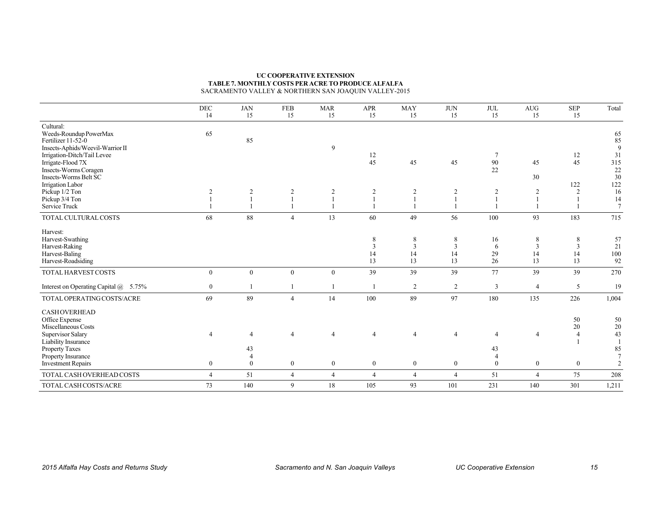#### **TABLE 7. MONTHLY COSTS PER ACRE TO PRODUCE ALFALFA** SACRAMENTO VALLEY & NORTHERN SAN JOAQUIN VALLEY-2015 **UC COOPERATIVE EXTENSION**

|                                                  | <b>DEC</b>     | <b>JAN</b>     | FEB              | <b>MAR</b>       | <b>APR</b>     | <b>MAY</b>       | <b>JUN</b>     | JUL            | <b>AUG</b>       | <b>SEP</b>     | Total           |
|--------------------------------------------------|----------------|----------------|------------------|------------------|----------------|------------------|----------------|----------------|------------------|----------------|-----------------|
|                                                  | 14             | 15             | 15               | 15               | 15             | 15               | 15             | 15             | 15               | 15             |                 |
| Cultural:                                        |                |                |                  |                  |                |                  |                |                |                  |                |                 |
| Weeds-Roundup PowerMax                           | 65             |                |                  |                  |                |                  |                |                |                  |                | 65              |
| Fertilizer 11-52-0                               |                | 85             |                  |                  |                |                  |                |                |                  |                | 85              |
| Insects-Aphids/Weevil-Warrior II                 |                |                |                  | 9                |                |                  |                | 7              |                  |                | 9               |
| Irrigation-Ditch/Tail Levee<br>Irrigate-Flood 7X |                |                |                  |                  | 12<br>45       | 45               | 45             | 90             | 45               | 12<br>45       | 31<br>315       |
| Insects-Worms Coragen                            |                |                |                  |                  |                |                  |                | 22             |                  |                | $22\,$          |
| Insects-Worms Belt SC                            |                |                |                  |                  |                |                  |                |                | 30               |                | 30              |
| Irrigation Labor                                 |                |                |                  |                  |                |                  |                |                |                  | 122            | 122             |
| Pickup 1/2 Ton                                   |                | $\overline{2}$ | $\overline{2}$   | $\overline{c}$   | 2              | 2                | $\overline{2}$ | $\overline{2}$ | $\overline{2}$   | 2              | 16              |
| Pickup 3/4 Ton                                   |                |                |                  |                  |                |                  |                |                | $\mathbf{1}$     |                | 14              |
| Service Truck                                    |                |                | 1                |                  |                |                  |                |                |                  |                | $7\phantom{.0}$ |
| TOTAL CULTURAL COSTS                             | 68             | 88             | $\overline{4}$   | 13               | 60             | 49               | 56             | 100            | 93               | 183            | 715             |
| Harvest:                                         |                |                |                  |                  |                |                  |                |                |                  |                |                 |
| Harvest-Swathing                                 |                |                |                  |                  | 8              | 8                | 8              | 16             | 8                | 8              | 57              |
| Harvest-Raking                                   |                |                |                  |                  | 3              | 3                | 3              | 6              | 3                | 3              | 21              |
| Harvest-Baling                                   |                |                |                  |                  | 14             | 14               | 14             | 29             | 14               | 14             | $100\,$         |
| Harvest-Roadsiding                               |                |                |                  |                  | 13             | 13               | 13             | 26             | 13               | 13             | 92              |
| TOTAL HARVEST COSTS                              | $\mathbf{0}$   | $\mathbf{0}$   | $\mathbf{0}$     | $\boldsymbol{0}$ | 39             | 39               | 39             | 77             | 39               | 39             | 270             |
| Interest on Operating Capital @ 5.75%            | $\mathbf{0}$   |                | 1                |                  |                | 2                | 2              | 3              | $\overline{4}$   | 5              | 19              |
| TOTAL OPERATING COSTS/ACRE                       | 69             | 89             | $\overline{4}$   | 14               | 100            | 89               | 97             | 180            | 135              | 226            | 1,004           |
| <b>CASHOVERHEAD</b>                              |                |                |                  |                  |                |                  |                |                |                  |                |                 |
| Office Expense                                   |                |                |                  |                  |                |                  |                |                |                  | 50             | 50              |
| Miscellaneous Costs                              |                |                |                  |                  |                |                  |                |                |                  | 20             | $20\,$          |
| Supervisor Salary                                |                | 4              | $\overline{4}$   | $\overline{4}$   | 4              | $\overline{4}$   | $\overline{4}$ | $\overline{4}$ | $\overline{4}$   | $\overline{4}$ | 43              |
| Liability Insurance                              |                |                |                  |                  |                |                  |                |                |                  |                |                 |
| Property Taxes                                   |                | 43             |                  |                  |                |                  |                | 43             |                  |                | 85              |
| Property Insurance                               |                | $\overline{4}$ |                  |                  |                |                  |                | $\overline{4}$ |                  |                | $\overline{7}$  |
| <b>Investment Repairs</b>                        | $\mathbf{0}$   | $\mathbf{0}$   | $\boldsymbol{0}$ | $\mathbf{0}$     | $\mathbf{0}$   | $\boldsymbol{0}$ | $\mathbf{0}$   | $\bf{0}$       | $\boldsymbol{0}$ | $\mathbf{0}$   | $\overline{c}$  |
| TOTAL CASH OVERHEAD COSTS                        | $\overline{4}$ | 51             | $\overline{4}$   | $\overline{4}$   | $\overline{4}$ | $\overline{4}$   | $\overline{4}$ | 51             | $\overline{4}$   | 75             | 208             |
| TOTAL CASH COSTS/ACRE                            | 73             | 140            | 9                | 18               | 105            | 93               | 101            | 231            | 140              | 301            | 1,211           |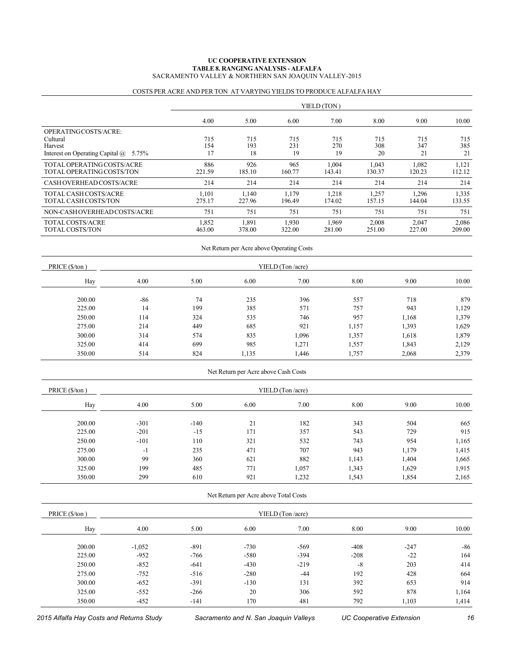#### **TABLE 8. RANGING ANALYSIS - ALFALFA** SACRAMENTO VALLEY & NORTHERN SAN JOAQUIN VALLEY-2015 **UC COOPERATIVE EXTENSION**

|  |  | COSTS PER ACRE AND PER TON AT VARYING YIELDS TO PRODUCE ALFALFA HAY |
|--|--|---------------------------------------------------------------------|
|--|--|---------------------------------------------------------------------|

|                                                                                                 | YIELD (TON)      |                  |                  |                  |                  |                  |                  |  |  |
|-------------------------------------------------------------------------------------------------|------------------|------------------|------------------|------------------|------------------|------------------|------------------|--|--|
|                                                                                                 | 4.00             | 5.00             | 6.00             | 7.00             | 8.00             | 9.00             | 10.00            |  |  |
| OPERATING COSTS/ACRE:<br>Cultural<br>Harvest<br>Interest on Operating Capital $\omega$<br>5.75% | 715<br>154<br>17 | 715<br>193<br>18 | 715<br>231<br>19 | 715<br>270<br>19 | 715<br>308<br>20 | 715<br>347<br>21 | 715<br>385<br>21 |  |  |
| TOTAL OPERATING COSTS/ACRE<br>TOTAL OPERATING COSTS/TON                                         | 886<br>221.59    | 926<br>185.10    | 965<br>160.77    | 1,004<br>143.41  | 1.043<br>130.37  | 1,082<br>120.23  | 1,121<br>112.12  |  |  |
| CASH OVERHEAD COSTS/ACRE                                                                        | 214              | 214              | 214              | 214              | 214              | 214              | 214              |  |  |
| TOTAL CASH COSTS/ACRE<br>TOTAL CASH COSTS/TON                                                   | 1.101<br>275.17  | 1.140<br>227.96  | 1.179<br>196.49  | 1,218<br>174.02  | 1,257<br>157.15  | 1,296<br>144.04  | 1,335<br>133.55  |  |  |
| NON-CASH OVERHEAD COSTS/ACRE                                                                    | 751              | 751              | 751              | 751              | 751              | 751              | 751              |  |  |
| TOTAL COSTS/ACRE<br>TOTAL COSTS/TON                                                             | 1,852<br>463.00  | 1,891<br>378.00  | 1,930<br>322.00  | 1,969<br>281.00  | 2,008<br>251.00  | 2,047<br>227.00  | 2,086<br>209.00  |  |  |

|                | Net Return per Acre above Operating Costs |      |       |       |       |       |       |  |  |  |  |
|----------------|-------------------------------------------|------|-------|-------|-------|-------|-------|--|--|--|--|
| PRICE (\$/ton) | YIELD (Ton/acre)                          |      |       |       |       |       |       |  |  |  |  |
| Hay            | 4.00                                      | 5.00 | 6.00  | 7.00  | 8.00  | 9.00  | 10.00 |  |  |  |  |
| 200.00         | -86                                       | 74   | 235   | 396   | 557   | 718   | 879   |  |  |  |  |
| 225.00         | 14                                        | 199  | 385   | 571   | 757   | 943   | 1,129 |  |  |  |  |
| 250.00         | 114                                       | 324  | 535   | 746   | 957   | 1,168 | 1,379 |  |  |  |  |
| 275.00         | 214                                       | 449  | 685   | 921   | 1,157 | 1,393 | 1,629 |  |  |  |  |
| 300.00         | 314                                       | 574  | 835   | 1,096 | 1,357 | 1,618 | 1,879 |  |  |  |  |
| 325.00         | 414                                       | 699  | 985   | 1,271 | 1,557 | 1,843 | 2,129 |  |  |  |  |
| 350.00         | 514                                       | 824  | 1,135 | 1,446 | 1,757 | 2,068 | 2,379 |  |  |  |  |

| PRICE (\$/ton) | YIELD (Ton /acre) |        |      |       |       |       |       |  |
|----------------|-------------------|--------|------|-------|-------|-------|-------|--|
| Hay            | 4.00              | 5.00   | 6.00 | 7.00  | 8.00  | 9.00  | 10.00 |  |
| 200.00         | $-301$            | $-140$ | 21   | 182   | 343   | 504   | 665   |  |
| 225.00         | $-201$            | $-15$  | 171  | 357   | 543   | 729   | 915   |  |
| 250.00         | $-101$            | 110    | 321  | 532   | 743   | 954   | 1,165 |  |
| 275.00         | $-1$              | 235    | 471  | 707   | 943   | 1,179 | 1,415 |  |
| 300.00         | 99                | 360    | 621  | 882   | 1,143 | 1,404 | 1,665 |  |
| 325.00         | 199               | 485    | 771  | 1,057 | 1,343 | 1,629 | 1,915 |  |
| 350.00         | 299               | 610    | 921  | 1,232 | 1,543 | 1,854 | 2,165 |  |

Net Return per Acre above Cash Costs

| Net Return per Acre above Total Costs |          |        |        |                   |        |        |       |  |  |  |
|---------------------------------------|----------|--------|--------|-------------------|--------|--------|-------|--|--|--|
| PRICE (\$/ton)                        |          |        |        | YIELD (Ton /acre) |        |        |       |  |  |  |
| Hay                                   | 4.00     | 5.00   | 6.00   | 7.00              | 8.00   | 9.00   | 10.00 |  |  |  |
| 200.00                                | $-1,052$ | $-891$ | $-730$ | $-569$            | $-408$ | $-247$ | $-86$ |  |  |  |
| 225.00                                | $-952$   | -766   | $-580$ | $-394$            | $-208$ | $-22$  | 164   |  |  |  |
| 250.00                                | $-852$   | $-641$ | $-430$ | $-219$            | $-8$   | 203    | 414   |  |  |  |
| 275.00                                | $-752$   | $-516$ | $-280$ | -44               | 192    | 428    | 664   |  |  |  |
| 300.00                                | $-652$   | $-391$ | $-130$ | 131               | 392    | 653    | 914   |  |  |  |
| 325.00                                | $-552$   | $-266$ | 20     | 306               | 592    | 878    | 1,164 |  |  |  |
| 350.00                                | $-452$   | $-141$ | 170    | 481               | 792    | 1,103  | 1,414 |  |  |  |

 *2015 Alfalfa Hay Costs and Returns Study Sacramento and N. San Joaquin Valleys UC Cooperative Extension 16*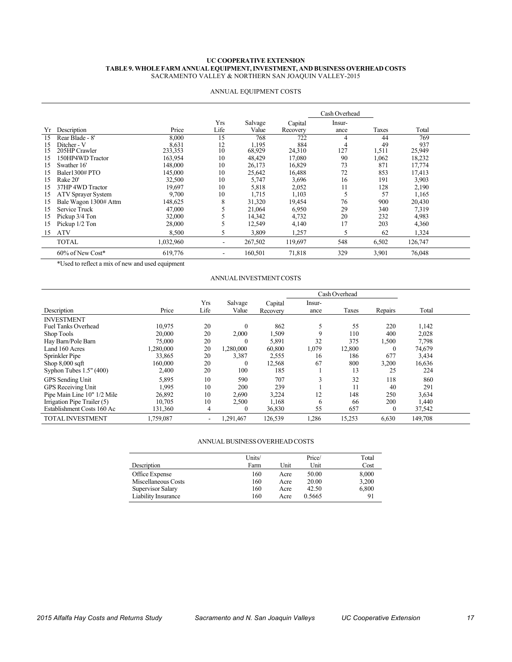#### **UC COOPERATIVE EXTENSION TABLE 9. WHOLE FARM ANNUAL EQUIPMENT, INVESTMENT, AND BUSINESS OVERHEAD COSTS** SACRAMENTO VALLEY & NORTHERN SAN JOAQUIN VALLEY-2015

|    |                           |           |      |         |          | Cash Overhead |       |         |  |
|----|---------------------------|-----------|------|---------|----------|---------------|-------|---------|--|
|    |                           |           | Yrs  | Salvage | Capital  | Insur-        |       |         |  |
| Yr | Description               | Price     | Life | Value   | Recovery | ance          | Taxes | Total   |  |
| 15 | Rear Blade - 8'           | 8,000     | 15   | 768     | 722      |               | 44    | 769     |  |
| 15 | Ditcher - V               | 8,631     | 12   | 1.195   | 884      | 4             | 49    | 937     |  |
| 15 | 205HP Crawler             | 233,353   | 10   | 68,929  | 24,310   | 127           | 1,511 | 25,949  |  |
| 15 | 150HP4WD Tractor          | 163,954   | 10   | 48,429  | 17,080   | 90            | 1,062 | 18,232  |  |
| 15 | Swather 16'               | 148,000   | 10   | 26,173  | 16,829   | 73            | 871   | 17,774  |  |
| 15 | Baler1300#PTO             | 145,000   | 10   | 25,642  | 16,488   | 72            | 853   | 17,413  |  |
| 15 | Rake 20'                  | 32,500    | 10   | 5,747   | 3,696    | 16            | 191   | 3,903   |  |
| 15 | 37HP 4WD Tractor          | 19,697    | 10   | 5,818   | 2,052    | 11            | 128   | 2,190   |  |
| 15 | <b>ATV Sprayer System</b> | 9,700     | 10   | 1,715   | 1,103    | C             | 57    | 1,165   |  |
| 15 | Bale Wagon 1300# Attm     | 148,625   | 8    | 31,320  | 19,454   | 76            | 900   | 20,430  |  |
| 15 | Service Truck             | 47,000    |      | 21,064  | 6,950    | 29            | 340   | 7,319   |  |
| 15 | Pickup 3/4 Ton            | 32,000    |      | 14,342  | 4,732    | 20            | 232   | 4,983   |  |
| 15 | Pickup 1/2 Ton            | 28,000    |      | 12,549  | 4,140    | 17            | 203   | 4,360   |  |
| 15 | <b>ATV</b>                | 8,500     | 5    | 3,809   | 1,257    | 5             | 62    | 1,324   |  |
|    | <b>TOTAL</b>              | 1,032,960 | ۰    | 267,502 | 119,697  | 548           | 6,502 | 126,747 |  |
|    | 60% of New Cost*          | 619,776   | -    | 160,501 | 71,818   | 329           | 3,901 | 76,048  |  |

#### ANNUAL EQUIPMENT COSTS

\*Used to reflect a mix of new and used equipment

#### ANNUAL INVESTMENT COSTS

|                             |           |                          |                  |                     | Cash Overhead  |        |              |         |  |
|-----------------------------|-----------|--------------------------|------------------|---------------------|----------------|--------|--------------|---------|--|
| Description                 | Price     | <b>Yrs</b><br>Life       | Salvage<br>Value | Capital<br>Recovery | Insur-<br>ance | Taxes  | Repairs      | Total   |  |
| <b>INVESTMENT</b>           |           |                          |                  |                     |                |        |              |         |  |
| <b>Fuel Tanks Overhead</b>  | 10,975    | 20                       | $\Omega$         | 862                 |                | 55     | 220          | 1,142   |  |
| Shop Tools                  | 20,000    | 20                       | 2,000            | 1,509               | 9              | 110    | 400          | 2,028   |  |
| Hay Barn/Pole Barn          | 75,000    | 20                       | $\theta$         | 5,891               | 32             | 375    | 1,500        | 7,798   |  |
| Land 160 Acres              | 1,280,000 | 20                       | 1,280,000        | 60,800              | 1,079          | 12,800 | $\theta$     | 74,679  |  |
| Sprinkler Pipe              | 33,865    | 20                       | 3,387            | 2,555               | 16             | 186    | 677          | 3,434   |  |
| Shop $8,000$ sqft           | 160,000   | 20                       | $\Omega$         | 12,568              | 67             | 800    | 3,200        | 16,636  |  |
| Syphon Tubes $1.5"$ (400)   | 2,400     | 20                       | 100              | 185                 |                | 13     | 25           | 224     |  |
| <b>GPS</b> Sending Unit     | 5,895     | 10                       | 590              | 707                 |                | 32     | 118          | 860     |  |
| GPS Receiving Unit          | 1,995     | 10                       | 200              | 239                 |                |        | 40           | 291     |  |
| Pipe Main Line 10" 1/2 Mile | 26,892    | 10                       | 2,690            | 3,224               | 12             | 148    | 250          | 3,634   |  |
| Irrigation Pipe Trailer (5) | 10,705    | 10                       | 2,500            | 1,168               | 6              | 66     | 200          | 1,440   |  |
| Establishment Costs 160 Ac  | 131,360   | 4                        | $\left($         | 36,830              | 55             | 657    | $\mathbf{0}$ | 37,542  |  |
| <b>TOTAL INVESTMENT</b>     | 1,759,087 | $\overline{\phantom{a}}$ | 1,291,467        | 126,539             | 1,286          | 15,253 | 6,630        | 149,708 |  |

#### ANNUAL BUSINESS OVERHEAD COSTS

|                     | Units/ |      | Price/ | Total |
|---------------------|--------|------|--------|-------|
| Description         | Farm   | Unit | Unit   | Cost  |
| Office Expense      | 160    | Acre | 50.00  | 8,000 |
| Miscellaneous Costs | 160    | Acre | 20.00  | 3,200 |
| Supervisor Salary   | 160    | Acre | 42.50  | 6,800 |
| Liability Insurance | 160    | Acre | 0.5665 | 91    |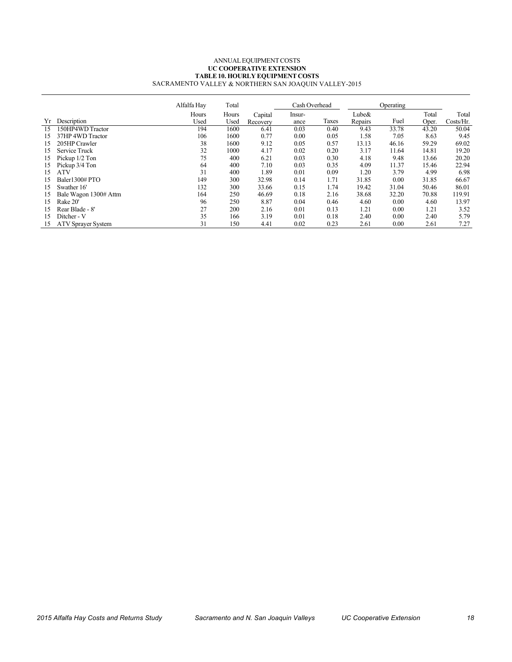#### $\overline{a}$ ANNUAL EQUIPMENT COSTS **UC COOPERATIVE EXTENSION TABLE 10. HOURLY EQUIPMENT COSTS** SACRAMENTO VALLEY & NORTHERN SAN JOAQUIN VALLEY-2015

|    |                           | Alfalfa Hay | Total |          |        | Cash Overhead |         | Operating |       |           |
|----|---------------------------|-------------|-------|----------|--------|---------------|---------|-----------|-------|-----------|
|    |                           | Hours       | Hours | Capital  | Insur- |               | Lube&   |           | Total | Total     |
| Yr | Description               | Used        | Used  | Recovery | ance   | Taxes         | Repairs | Fuel      | Oper. | Costs/Hr. |
| 15 | 150HP4WD Tractor          | 194         | 1600  | 6.41     | 0.03   | 0.40          | 9.43    | 33.78     | 43.20 | 50.04     |
| 15 | 37HP 4WD Tractor          | 106         | 1600  | 0.77     | 0.00   | 0.05          | 1.58    | 7.05      | 8.63  | 9.45      |
| 15 | 205HP Crawler             | 38          | 1600  | 9.12     | 0.05   | 0.57          | 13.13   | 46.16     | 59.29 | 69.02     |
| 15 | Service Truck             | 32          | 1000  | 4.17     | 0.02   | 0.20          | 3.17    | 11.64     | 14.81 | 19.20     |
| 15 | Pickup 1/2 Ton            | 75          | 400   | 6.21     | 0.03   | 0.30          | 4.18    | 9.48      | 13.66 | 20.20     |
| 15 | Pickup 3/4 Ton            | 64          | 400   | 7.10     | 0.03   | 0.35          | 4.09    | 11.37     | 15.46 | 22.94     |
| 15 | <b>ATV</b>                | 31          | 400   | 1.89     | 0.01   | 0.09          | 1.20    | 3.79      | 4.99  | 6.98      |
| 15 | Baler1300#PTO             | 149         | 300   | 32.98    | 0.14   | 1.71          | 31.85   | 0.00      | 31.85 | 66.67     |
| 15 | Swather 16'               | 132         | 300   | 33.66    | 0.15   | 1.74          | 19.42   | 31.04     | 50.46 | 86.01     |
| 15 | Bale Wagon 1300# Attm     | 164         | 250   | 46.69    | 0.18   | 2.16          | 38.68   | 32.20     | 70.88 | 119.91    |
| 15 | Rake 20'                  | 96          | 250   | 8.87     | 0.04   | 0.46          | 4.60    | 0.00      | 4.60  | 13.97     |
| 15 | Rear Blade - 8'           | 27          | 200   | 2.16     | 0.01   | 0.13          | 1.21    | 0.00      | 1.21  | 3.52      |
| 15 | Ditcher - V               | 35          | 166   | 3.19     | 0.01   | 0.18          | 2.40    | 0.00      | 2.40  | 5.79      |
| 15 | <b>ATV Sprayer System</b> | 31          | 150   | 4.41     | 0.02   | 0.23          | 2.61    | 0.00      | 2.61  | 7.27      |